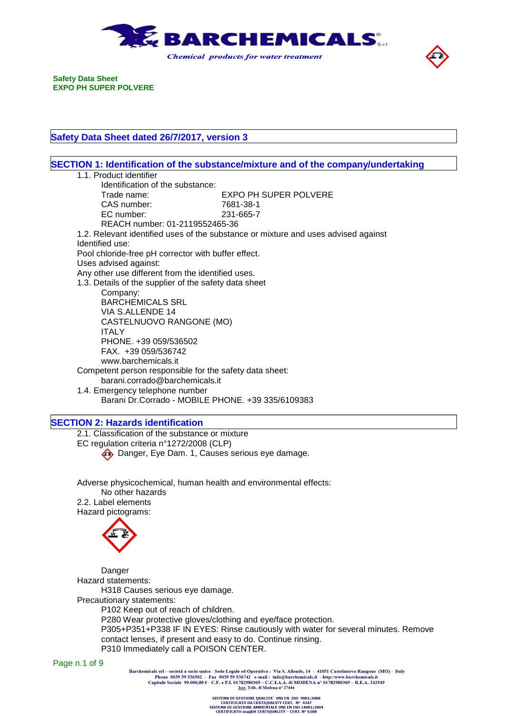



## **Safety Data Sheet dated 26/7/2017, version 3**

|                                                                                           | SECTION 1: Identification of the substance/mixture and of the company/undertaking  |
|-------------------------------------------------------------------------------------------|------------------------------------------------------------------------------------|
| 1.1. Product identifier                                                                   |                                                                                    |
| Identification of the substance:                                                          |                                                                                    |
| Trade name:                                                                               | <b>EXPO PH SUPER POLVERE</b>                                                       |
| CAS number:                                                                               | 7681-38-1                                                                          |
| EC number:                                                                                | 231-665-7                                                                          |
| REACH number: 01-2119552465-36                                                            |                                                                                    |
|                                                                                           | 1.2. Relevant identified uses of the substance or mixture and uses advised against |
| Identified use:                                                                           |                                                                                    |
| Pool chloride-free pH corrector with buffer effect.                                       |                                                                                    |
| Uses advised against:                                                                     |                                                                                    |
| Any other use different from the identified uses.                                         |                                                                                    |
| 1.3. Details of the supplier of the safety data sheet                                     |                                                                                    |
| Company:                                                                                  |                                                                                    |
| <b>BARCHEMICALS SRL</b>                                                                   |                                                                                    |
| VIA S.ALLENDE 14                                                                          |                                                                                    |
| CASTELNUOVO RANGONE (MO)                                                                  |                                                                                    |
| <b>ITALY</b>                                                                              |                                                                                    |
| PHONE. +39 059/536502                                                                     |                                                                                    |
| FAX. +39 059/536742<br>www.barchemicals.it                                                |                                                                                    |
|                                                                                           |                                                                                    |
| Competent person responsible for the safety data sheet:<br>barani.corrado@barchemicals.it |                                                                                    |
| 1.4. Emergency telephone number                                                           |                                                                                    |
| Barani Dr.Corrado - MOBILE PHONE. +39 335/6109383                                         |                                                                                    |
|                                                                                           |                                                                                    |
| <b>SECTION 2: Hazards identification</b>                                                  |                                                                                    |
| 2.1. Classification of the substance or mixture                                           |                                                                                    |
| EC regulation criteria n°1272/2008 (CLP)                                                  |                                                                                    |
| Danger, Eye Dam. 1, Causes serious eye damage.                                            |                                                                                    |
|                                                                                           |                                                                                    |
|                                                                                           |                                                                                    |
| Adverse physicochemical, human health and environmental effects:                          |                                                                                    |
| No other hazards                                                                          |                                                                                    |
| 2.2. Label elements                                                                       |                                                                                    |
| Hazard pictograms:                                                                        |                                                                                    |
|                                                                                           |                                                                                    |
|                                                                                           |                                                                                    |
|                                                                                           |                                                                                    |
|                                                                                           |                                                                                    |
| Danger                                                                                    |                                                                                    |
| Hazard statements:                                                                        |                                                                                    |
| H318 Causes serious eye damage.                                                           |                                                                                    |
| Precautionary statements:                                                                 |                                                                                    |
| P102 Keep out of reach of children.                                                       |                                                                                    |
| P280 Wear protective gloves/clothing and eye/face protection.                             |                                                                                    |
|                                                                                           | P305+P351+P338 IF IN EYES: Rinse cautiously with water for several minutes. Remove |
| contact lenses, if present and easy to do. Continue rinsing.                              |                                                                                    |

P310 Immediately call a POISON CENTER.

Page n.1 of 9

Barchemicals srl – società a socio unico - Sede Legale ed Operativa : Via S. Allende, 14 - 41051 Castelnuovo Rangone (MO) - Italy<br>Phone 0039 59 536502 - Fax 0039 59 536742 e-mail : info@barchemicals.it - http://www.barche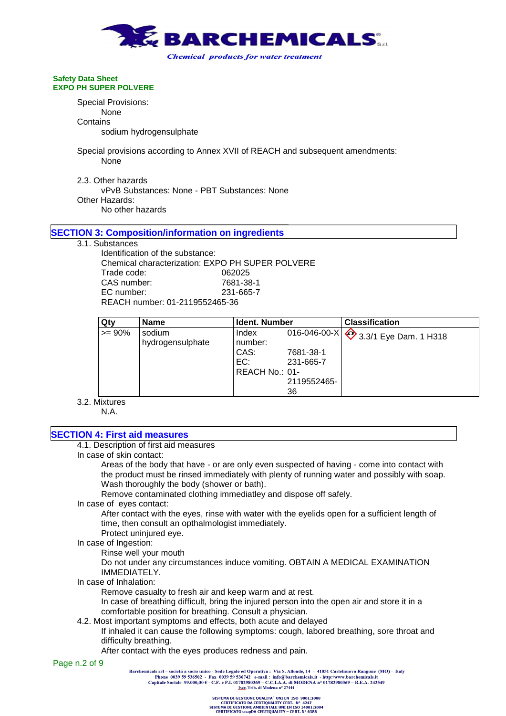

**Safety Data Sheet EXPO PH SUPER POLVERE** Special Provisions: None **Contains** 

sodium hydrogensulphate

Special provisions according to Annex XVII of REACH and subsequent amendments: None

2.3. Other hazards vPvB Substances: None - PBT Substances: None Other Hazards: No other hazards

## **SECTION 3: Composition/information on ingredients**

### 3.1. Substances

Identification of the substance: Chemical characterization: EXPO PH SUPER POLVERE Trade code: 062025 CAS number: 7681-38-1 EC number: 231-665-7 REACH number: 01-2119552465-36

| Qty       | <b>Name</b>                | Ident. Number                                     |                                                             | <b>Classification</b>               |
|-----------|----------------------------|---------------------------------------------------|-------------------------------------------------------------|-------------------------------------|
| $>= 90\%$ | sodium<br>hydrogensulphate | Index<br>number:<br>CAS:<br>EC:<br>REACH No.: 01- | 016-046-00-X<br>7681-38-1<br>231-665-7<br>2119552465-<br>36 | $\frac{1}{2}$ 3.3/1 Eye Dam. 1 H318 |

3.2. Mixtures

N.A.

## **SECTION 4: First aid measures**

4.1. Description of first aid measures

In case of skin contact:

Areas of the body that have - or are only even suspected of having - come into contact with the product must be rinsed immediately with plenty of running water and possibly with soap. Wash thoroughly the body (shower or bath).

Remove contaminated clothing immediatley and dispose off safely.

In case of eyes contact:

After contact with the eyes, rinse with water with the eyelids open for a sufficient length of time, then consult an opthalmologist immediately.

Protect uninjured eye.

In case of Ingestion:

Rinse well your mouth

Do not under any circumstances induce vomiting. OBTAIN A MEDICAL EXAMINATION IMMEDIATELY.

In case of Inhalation:

Remove casualty to fresh air and keep warm and at rest.

In case of breathing difficult, bring the injured person into the open air and store it in a comfortable position for breathing. Consult a physician.

4.2. Most important symptoms and effects, both acute and delayed

If inhaled it can cause the following symptoms: cough, labored breathing, sore throat and difficulty breathing.

After contact with the eyes produces redness and pain.

Page n.2 of 9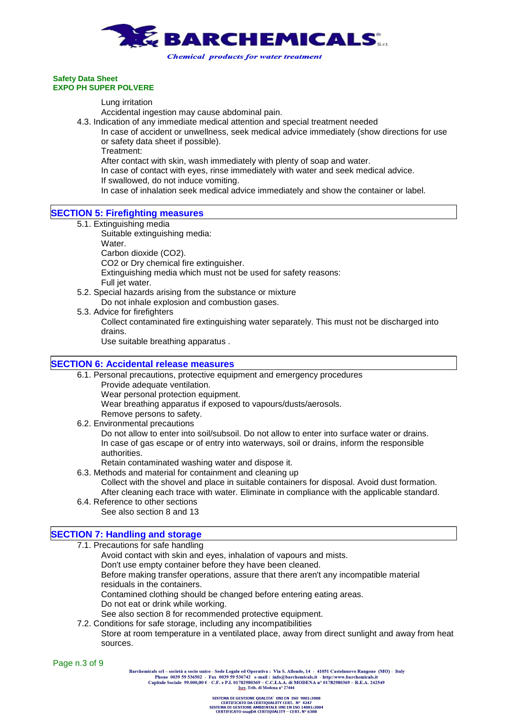

Lung irritation

Accidental ingestion may cause abdominal pain.

- 4.3. Indication of any immediate medical attention and special treatment needed
	- In case of accident or unwellness, seek medical advice immediately (show directions for use or safety data sheet if possible).

Treatment:

After contact with skin, wash immediately with plenty of soap and water.

- In case of contact with eyes, rinse immediately with water and seek medical advice.
- If swallowed, do not induce vomiting.

In case of inhalation seek medical advice immediately and show the container or label.

- **SECTION 5: Firefighting measures**
	- 5.1. Extinguishing media

Suitable extinguishing media:

Water.

Carbon dioxide (CO2).

CO2 or Dry chemical fire extinguisher.

Extinguishing media which must not be used for safety reasons:

- Full jet water.
- 5.2. Special hazards arising from the substance or mixture

Do not inhale explosion and combustion gases.

5.3. Advice for firefighters Collect contaminated fire extinguishing water separately. This must not be discharged into drains.

Use suitable breathing apparatus .

## **SECTION 6: Accidental release measures**

- 6.1. Personal precautions, protective equipment and emergency procedures
	- Provide adequate ventilation.
		- Wear personal protection equipment.
		- Wear breathing apparatus if exposed to vapours/dusts/aerosols.
	- Remove persons to safety.
- 6.2. Environmental precautions

Do not allow to enter into soil/subsoil. Do not allow to enter into surface water or drains. In case of gas escape or of entry into waterways, soil or drains, inform the responsible authorities.

- Retain contaminated washing water and dispose it.
- 6.3. Methods and material for containment and cleaning up Collect with the shovel and place in suitable containers for disposal. Avoid dust formation. After cleaning each trace with water. Eliminate in compliance with the applicable standard.
- 6.4. Reference to other sections
	- See also section 8 and 13

## **SECTION 7: Handling and storage**

- 7.1. Precautions for safe handling
	- Avoid contact with skin and eyes, inhalation of vapours and mists.
		- Don't use empty container before they have been cleaned.

Before making transfer operations, assure that there aren't any incompatible material residuals in the containers.

Contamined clothing should be changed before entering eating areas.

- Do not eat or drink while working.
- See also section 8 for recommended protective equipment.
- 7.2. Conditions for safe storage, including any incompatibilities
	- Store at room temperature in a ventilated place, away from direct sunlight and away from heat sources.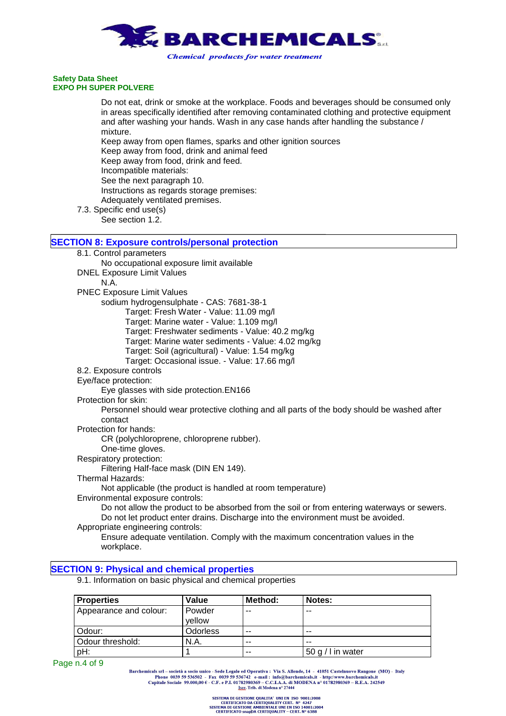

Do not eat, drink or smoke at the workplace. Foods and beverages should be consumed only in areas specifically identified after removing contaminated clothing and protective equipment and after washing your hands. Wash in any case hands after handling the substance / mixture. Keep away from open flames, sparks and other ignition sources Keep away from food, drink and animal feed Keep away from food, drink and feed. Incompatible materials: See the next paragraph 10.

Instructions as regards storage premises:

Adequately ventilated premises.

7.3. Specific end use(s) See section 1.2.

## **SECTION 8: Exposure controls/personal protection**

- 8.1. Control parameters
	- No occupational exposure limit available DNEL Exposure Limit Values
		- N.A.
	- PNEC Exposure Limit Values

sodium hydrogensulphate - CAS: 7681-38-1

- Target: Fresh Water Value: 11.09 mg/l
- Target: Marine water Value: 1.109 mg/l
- Target: Freshwater sediments Value: 40.2 mg/kg
- Target: Marine water sediments Value: 4.02 mg/kg
- Target: Soil (agricultural) Value: 1.54 mg/kg
- Target: Occasional issue. Value: 17.66 mg/l
- 8.2. Exposure controls
- Eye/face protection:
	- Eye glasses with side protection.EN166
- Protection for skin:

Personnel should wear protective clothing and all parts of the body should be washed after contact

Protection for hands:

CR (polychloroprene, chloroprene rubber).

- One-time gloves.
- Respiratory protection:

Filtering Half-face mask (DIN EN 149).

Thermal Hazards:

Not applicable (the product is handled at room temperature)

Environmental exposure controls:

Do not allow the product to be absorbed from the soil or from entering waterways or sewers. Do not let product enter drains. Discharge into the environment must be avoided.

Appropriate engineering controls:

Ensure adequate ventilation. Comply with the maximum concentration values in the workplace.

## **SECTION 9: Physical and chemical properties**

9.1. Information on basic physical and chemical properties

| <b>Properties</b>      | Value            | Method: | Notes:            |
|------------------------|------------------|---------|-------------------|
| Appearance and colour: | Powder<br>vellow | $- -$   | $- -$             |
| Odour:                 | <b>Odorless</b>  | $-$     | $- -$             |
| Odour threshold:       | N.A.             | $-$     | $- -$             |
| pH:                    |                  | $-$     | 50 g / I in water |

Page n.4 of 9

Barchemicals srl - società a socio unico - Sede Legale ed Operativa : Via S. Allende, 14 - 41051 Castelnuovo Rangone (MO) - Italy Phone 0039 59 536502 - Fax 0039 59 536742 e-mail: info@barchemicals.it - http://www.barchemicals.it<br>Capitale Sociale 99.000,00  $\epsilon$  - C.F. e P.I. 01782980369 - C.C.I.A.A. di MODENA n° 01782980369 - R.E.A. 242549<br>Leer. Tri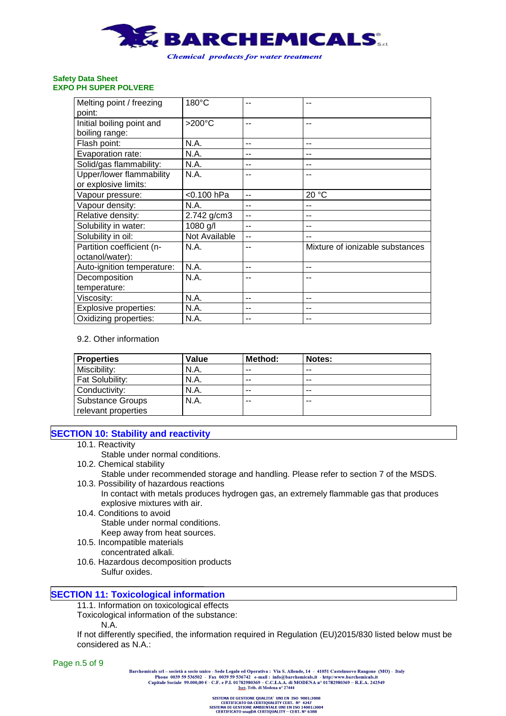

| Melting point / freezing<br>point:               | 180°C         | --  | --                              |
|--------------------------------------------------|---------------|-----|---------------------------------|
| Initial boiling point and<br>boiling range:      | >200°C        | --  | --                              |
| Flash point:                                     | N.A.          | --  |                                 |
| Evaporation rate:                                | N.A.          | --  | --                              |
| Solid/gas flammability:                          | N.A.          | --  | --                              |
| Upper/lower flammability<br>or explosive limits: | N.A.          | --  |                                 |
| Vapour pressure:                                 | <0.100 hPa    | --  | 20 °C                           |
| Vapour density:                                  | N.A.          | --  | --                              |
| Relative density:                                | 2.742 g/cm3   | $-$ | --                              |
| Solubility in water:                             | 1080 g/l      | --  |                                 |
| Solubility in oil:                               | Not Available | --  | --                              |
| Partition coefficient (n-<br>octanol/water):     | N.A.          | --  | Mixture of ionizable substances |
| Auto-ignition temperature:                       | N.A.          | --  | --                              |
| Decomposition                                    | N.A.          | --  |                                 |
| temperature:                                     |               |     |                                 |
| Viscosity:                                       | N.A.          | --  | --                              |
| Explosive properties:                            | N.A.          | --  |                                 |
| Oxidizing properties:                            | N.A.          | --  |                                 |

## 9.2. Other information

| <b>Properties</b>                              | Value | Method: | Notes: |
|------------------------------------------------|-------|---------|--------|
| Miscibility:                                   | N.A.  | $- -$   | $- -$  |
| Fat Solubility:                                | N.A.  | $- -$   | $- -$  |
| Conductivity:                                  | N.A.  | $- -$   | $- -$  |
| <b>Substance Groups</b><br>relevant properties | N.A.  | $- -$   | $- -$  |

## **SECTION 10: Stability and reactivity**

- 10.1. Reactivity
	- Stable under normal conditions.
- 10.2. Chemical stability
- Stable under recommended storage and handling. Please refer to section 7 of the MSDS. 10.3. Possibility of hazardous reactions
	- In contact with metals produces hydrogen gas, an extremely flammable gas that produces explosive mixtures with air.
- 10.4. Conditions to avoid Stable under normal conditions. Keep away from heat sources.
- 10.5. Incompatible materials
	- concentrated alkali.
- 10.6. Hazardous decomposition products Sulfur oxides.

## **SECTION 11: Toxicological information**

11.1. Information on toxicological effects

Toxicological information of the substance:

N.A.

If not differently specified, the information required in Regulation (EU)2015/830 listed below must be considered as N.A.:

Barchemicals srl - società a socio unico - Sede Legale ed Operativa : Via S. Allende, 14 - 41051 Castelnuovo Rangone (MO) - Italy Phone 0039 59 536502 - Fax 0039 59 536742 e-mail: info@barchemicals.it - http://www.barchemicals.it<br>Capitale Sociale 99.000,00  $\epsilon$  - C.F. e P.I. 01782980369 - C.C.I.A.A. di MODENA n° 01782980369 - R.E.A. 242549<br>Leer. Tri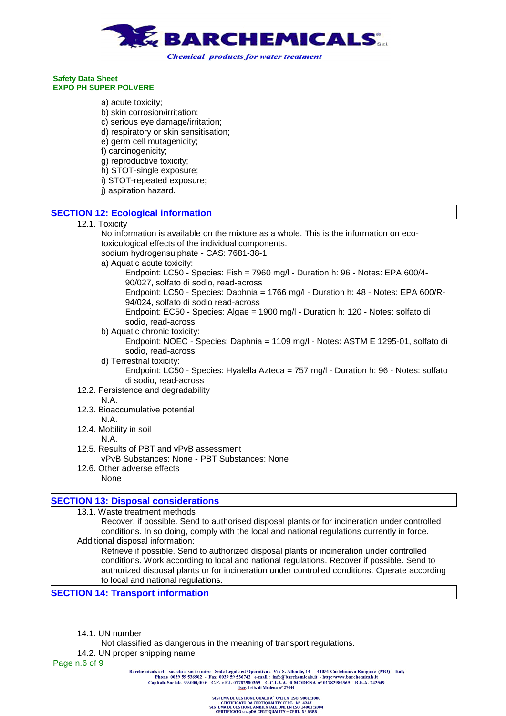

- a) acute toxicity;
- b) skin corrosion/irritation;
- c) serious eye damage/irritation;
- d) respiratory or skin sensitisation;
- e) germ cell mutagenicity;
- f) carcinogenicity;
- g) reproductive toxicity;
- h) STOT-single exposure;
- i) STOT-repeated exposure;
- j) aspiration hazard.

## **SECTION 12: Ecological information**

12.1. Toxicity

No information is available on the mixture as a whole. This is the information on ecotoxicological effects of the individual components.

sodium hydrogensulphate - CAS: 7681-38-1

a) Aquatic acute toxicity:

Endpoint: LC50 - Species: Fish = 7960 mg/l - Duration h: 96 - Notes: EPA 600/4- 90/027, solfato di sodio, read-across

Endpoint: LC50 - Species: Daphnia = 1766 mg/l - Duration h: 48 - Notes: EPA 600/R-94/024, solfato di sodio read-across

Endpoint: EC50 - Species: Algae = 1900 mg/l - Duration h: 120 - Notes: solfato di sodio, read-across

- b) Aquatic chronic toxicity: Endpoint: NOEC - Species: Daphnia = 1109 mg/l - Notes: ASTM E 1295-01, solfato di sodio, read-across
- d) Terrestrial toxicity: Endpoint: LC50 - Species: Hyalella Azteca = 757 mg/l - Duration h: 96 - Notes: solfato di sodio, read-across
- 12.2. Persistence and degradability

## N.A.

- 12.3. Bioaccumulative potential N.A.
- 12.4. Mobility in soil N.A.
- 12.5. Results of PBT and vPvB assessment vPvB Substances: None - PBT Substances: None
- 12.6. Other adverse effects None

## **SECTION 13: Disposal considerations**

13.1. Waste treatment methods

Recover, if possible. Send to authorised disposal plants or for incineration under controlled conditions. In so doing, comply with the local and national regulations currently in force. Additional disposal information:

Retrieve if possible. Send to authorized disposal plants or incineration under controlled conditions. Work according to local and national regulations. Recover if possible. Send to authorized disposal plants or for incineration under controlled conditions. Operate according to local and national regulations.

**SECTION 14: Transport information**

- 14.1. UN number
	- Not classified as dangerous in the meaning of transport regulations.
- 14.2. UN proper shipping name

Page n.6 of 9

Barchemicals srl - società a socio unico - Sede Legale ed Operativa : Via S. Allende, 14 - 41051 Castelnuovo Rangone (MO) - Italy Phone 0039 59 536502 - Fax 0039 59 536742 e-mail: info@barchemicals.it - http://www.barchemicals.it<br>Capitale Sociale 99.000,00  $\epsilon$  - C.F. e P.I. 01782980369 - C.C.I.A.A. di MODENA n° 01782980369 - R.E.A. 242549<br>List: Tri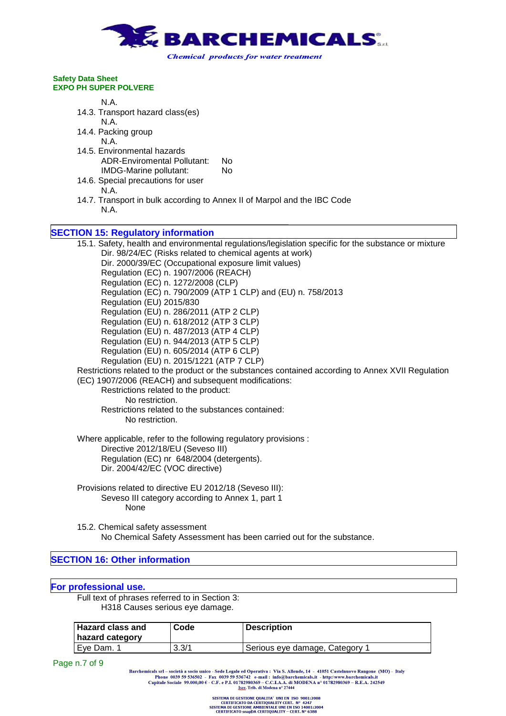

# N.A.

14.3. Transport hazard class(es)

N.A.

- 14.4. Packing group N.A.
- 14.5. Environmental hazards ADR-Enviromental Pollutant: No IMDG-Marine pollutant: No
- 14.6. Special precautions for user N.A.
- 14.7. Transport in bulk according to Annex II of Marpol and the IBC Code N.A.

## **SECTION 15: Regulatory information**

15.1. Safety, health and environmental regulations/legislation specific for the substance or mixture Dir. 98/24/EC (Risks related to chemical agents at work) Dir. 2000/39/EC (Occupational exposure limit values) Regulation (EC) n. 1907/2006 (REACH) Regulation (EC) n. 1272/2008 (CLP) Regulation (EC) n. 790/2009 (ATP 1 CLP) and (EU) n. 758/2013 Regulation (EU) 2015/830 Regulation (EU) n. 286/2011 (ATP 2 CLP) Regulation (EU) n. 618/2012 (ATP 3 CLP) Regulation (EU) n. 487/2013 (ATP 4 CLP) Regulation (EU) n. 944/2013 (ATP 5 CLP) Regulation (EU) n. 605/2014 (ATP 6 CLP) Regulation (EU) n. 2015/1221 (ATP 7 CLP) Restrictions related to the product or the substances contained according to Annex XVII Regulation (EC) 1907/2006 (REACH) and subsequent modifications: Restrictions related to the product: No restriction. Restrictions related to the substances contained: No restriction.

Where applicable, refer to the following regulatory provisions : Directive 2012/18/EU (Seveso III) Regulation (EC) nr 648/2004 (detergents). Dir. 2004/42/EC (VOC directive)

- Provisions related to directive EU 2012/18 (Seveso III): Seveso III category according to Annex 1, part 1 None
- 15.2. Chemical safety assessment No Chemical Safety Assessment has been carried out for the substance.

## **SECTION 16: Other information**

## **For professional use.**

Full text of phrases referred to in Section 3: H318 Causes serious eye damage.

| <b>Hazard class and</b><br>  hazard category | Code  | <b>Description</b>             |
|----------------------------------------------|-------|--------------------------------|
| I Eve Dam, 1                                 | 3.3/1 | Serious eye damage, Category 1 |

Page n.7 of 9

Barchemicals srl - società a socio unico - Sede Legale ed Operativa : Via S. Allende, 14 - 41051 Castelnuovo Rangone (MO) - Italy Phone 0039 59 536502 - Fax 0039 59 536742 e-mail: info@barchemicals.it - http://www.barchemicals.it<br>Capitale Sociale 99.000,00  $\epsilon$  - C.F. e P.I. 01782980369 - C.C.I.A.A. di MODENA n° 01782980369 - R.E.A. 242549<br>Leer. Tri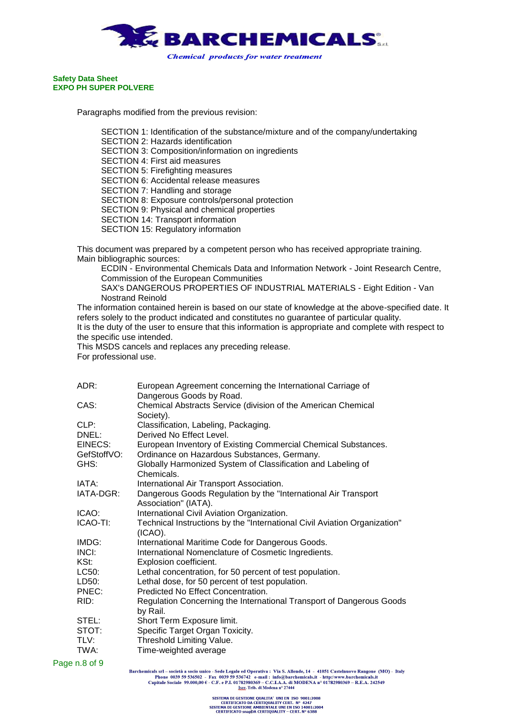

Paragraphs modified from the previous revision:

SECTION 1: Identification of the substance/mixture and of the company/undertaking SECTION 2: Hazards identification SECTION 3: Composition/information on ingredients SECTION 4: First aid measures SECTION 5: Firefighting measures SECTION 6: Accidental release measures SECTION 7: Handling and storage SECTION 8: Exposure controls/personal protection SECTION 9: Physical and chemical properties SECTION 14: Transport information SECTION 15: Regulatory information

This document was prepared by a competent person who has received appropriate training. Main bibliographic sources:

ECDIN - Environmental Chemicals Data and Information Network - Joint Research Centre, Commission of the European Communities

SAX's DANGEROUS PROPERTIES OF INDUSTRIAL MATERIALS - Eight Edition - Van Nostrand Reinold

The information contained herein is based on our state of knowledge at the above-specified date. It refers solely to the product indicated and constitutes no guarantee of particular quality. It is the duty of the user to ensure that this information is appropriate and complete with respect to the specific use intended.

This MSDS cancels and replaces any preceding release. For professional use.

| ADR:                   | European Agreement concerning the International Carriage of                                                   |
|------------------------|---------------------------------------------------------------------------------------------------------------|
|                        | Dangerous Goods by Road.                                                                                      |
| CAS:                   | Chemical Abstracts Service (division of the American Chemical<br>Society).                                    |
| CLP:                   | Classification, Labeling, Packaging.                                                                          |
| DNEL:                  | Derived No Effect Level.                                                                                      |
| EINECS:<br>GefStoffVO: | European Inventory of Existing Commercial Chemical Substances.<br>Ordinance on Hazardous Substances, Germany. |
| GHS:                   | Globally Harmonized System of Classification and Labeling of<br>Chemicals.                                    |
| IATA:                  | International Air Transport Association.                                                                      |
| IATA-DGR:              | Dangerous Goods Regulation by the "International Air Transport"<br>Association" (IATA).                       |
| ICAO:                  | International Civil Aviation Organization.                                                                    |
| ICAO-TI:               | Technical Instructions by the "International Civil Aviation Organization"<br>$(ICAO)$ .                       |
| IMDG:                  | International Maritime Code for Dangerous Goods.                                                              |
| INCI:                  | International Nomenclature of Cosmetic Ingredients.                                                           |
| KSt:                   | Explosion coefficient.                                                                                        |
| LC50:                  | Lethal concentration, for 50 percent of test population.                                                      |
| LD50:                  | Lethal dose, for 50 percent of test population.                                                               |
| PNEC:                  | Predicted No Effect Concentration.                                                                            |
| RID:                   | Regulation Concerning the International Transport of Dangerous Goods<br>by Rail.                              |
| STEL:                  | Short Term Exposure limit.                                                                                    |
| STOT:                  | Specific Target Organ Toxicity.                                                                               |
| TLV:                   | Threshold Limiting Value.                                                                                     |
| TWA:                   | Time-weighted average                                                                                         |
| $nR$ of $Q$            |                                                                                                               |

Page n.8 of 9

Barchemicals srl - società a socio unico - Sede Legale ed Operativa : Via S. Allende, 14 - 41051 Castelnuovo Rangone (MO) - Italy Phone 0039 59 536502 - Fax 0039 59 536742 e-mail : info@barchemicals.it - http://www.barchemicals.it<br>Capitale Sociale 99.000,00 € - C.F. e P.I. 01782980369 - C.C.I.A.A. di MODENA n° 01782980369 - R.E.A. 242549<br>Istr. Trib.